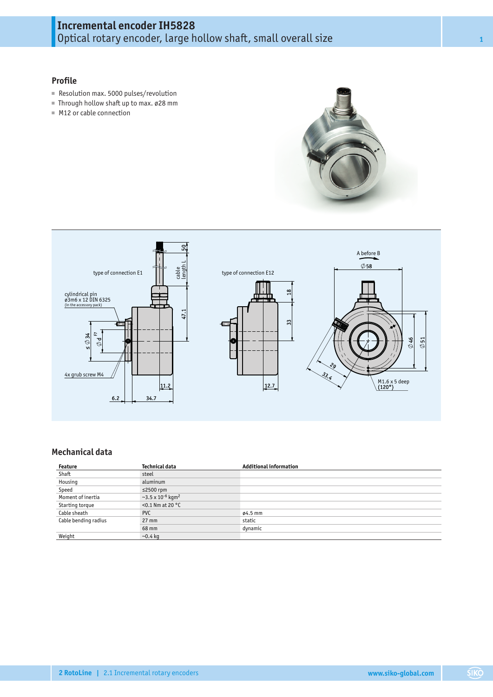# **Incremental encoder IH5828** Optical rotary encoder, large hollow shaft, small overall size **<sup>1</sup>**

## **Profile**

- Resolution max. 5000 pulses/revolution
- Through hollow shaft up to max. ø28 mm
- M12 or cable connection





## **Mechanical data**

| Feature              | Technical data                                 | <b>Additional information</b> |
|----------------------|------------------------------------------------|-------------------------------|
| Shaft                | steel                                          |                               |
| Housing              | aluminum                                       |                               |
| Speed                | $≤2500$ rpm                                    |                               |
| Moment of inertia    | $\sim$ 3.5 x 10 <sup>-6</sup> kgm <sup>2</sup> |                               |
| Starting torque      | $<$ 0.1 Nm at 20 $^{\circ}$ C                  |                               |
| Cable sheath         | <b>PVC</b>                                     | $04.5$ mm                     |
| Cable bending radius | $27 \text{ mm}$                                | static                        |
|                      | 68 mm                                          | dynamic                       |
| Weight               | $-0.4$ kg                                      |                               |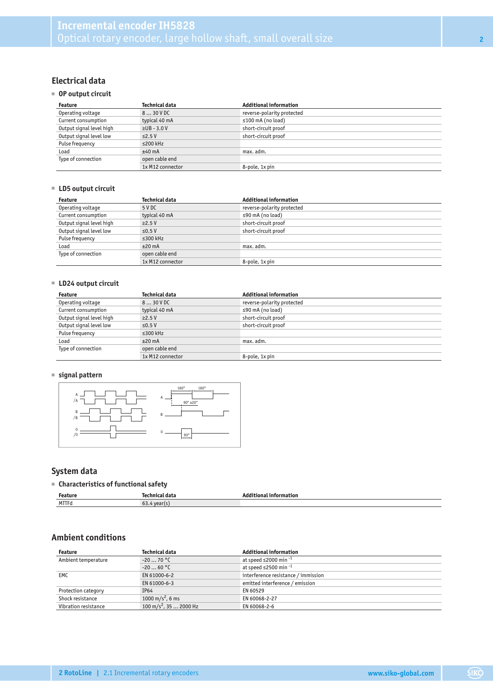## **Electrical data**

#### ■ **OP output circuit**

| Feature                  | Technical data<br><b>Additional information</b> |                            |  |
|--------------------------|-------------------------------------------------|----------------------------|--|
| Operating voltage        | 830 V DC                                        | reverse-polarity protected |  |
| Current consumption      | typical 40 mA                                   | $\leq$ 100 mA (no load)    |  |
| Output signal level high | $\Sigma$ UB - 3.0 V                             | short-circuit proof        |  |
| Output signal level low  | $\leq$ 2.5 V                                    | short-circuit proof        |  |
| Pulse frequency          | $\leq$ 200 kHz                                  |                            |  |
| Load                     | $±40$ mA                                        | max. adm.                  |  |
| Type of connection       | open cable end                                  |                            |  |
|                          | 1x M12 connector                                | 8-pole, 1x pin             |  |

#### ■ **LD5 output circuit**

| Feature                  | Technical data<br><b>Additional information</b> |                            |  |  |  |
|--------------------------|-------------------------------------------------|----------------------------|--|--|--|
| Operating voltage        | 5 V DC                                          | reverse-polarity protected |  |  |  |
| Current consumption      | typical 40 mA                                   | $\leq$ 90 mA (no load)     |  |  |  |
| Output signal level high | $\geq$ 2.5 V                                    | short-circuit proof        |  |  |  |
| Output signal level low  | $\leq$ 0.5 V                                    | short-circuit proof        |  |  |  |
| Pulse frequency          | $\leq$ 300 kHz                                  |                            |  |  |  |
| Load                     | $±20$ mA                                        | max. adm.                  |  |  |  |
| Type of connection       | open cable end                                  |                            |  |  |  |
|                          | 1x M12 connector                                | 8-pole, 1x pin             |  |  |  |

## ■ **LD24 output circuit**

| Feature                  | Technical data<br><b>Additional information</b> |                            |  |  |  |
|--------------------------|-------------------------------------------------|----------------------------|--|--|--|
| Operating voltage        | $830$ VDC                                       | reverse-polarity protected |  |  |  |
| Current consumption      | typical 40 mA                                   | $\leq$ 90 mA (no load)     |  |  |  |
| Output signal level high | $\geq$ 2.5 V                                    | short-circuit proof        |  |  |  |
| Output signal level low  | $\leq$ 0.5 V                                    | short-circuit proof        |  |  |  |
| Pulse frequency          | $\leq$ 300 kHz                                  |                            |  |  |  |
| Load                     | $±20$ mA                                        | max. adm.                  |  |  |  |
| Type of connection       | open cable end                                  |                            |  |  |  |
|                          | 1x M12 connector                                | 8-pole, 1x pin             |  |  |  |

## ■ **signal pattern**



## **System data**

## ■ **Characteristics of functional safety**

| Feature | . ה           | tional information<br>Addi |
|---------|---------------|----------------------------|
| MTTFd   | + year(<br>63 |                            |

## **Ambient conditions**

| Feature              | Technical data                     | <b>Additional information</b>          |  |  |  |
|----------------------|------------------------------------|----------------------------------------|--|--|--|
| Ambient temperature  | $-2070 °C$                         | at speed $\leq$ 2000 min <sup>-1</sup> |  |  |  |
|                      | $-2060 °C$                         | at speed $\leq$ 2500 min <sup>-1</sup> |  |  |  |
| EMC                  | EN 61000-6-2                       | interference resistance / immission    |  |  |  |
|                      | EN 61000-6-3                       | emitted interference / emission        |  |  |  |
| Protection category  | IP64<br>EN 60529                   |                                        |  |  |  |
| Shock resistance     | 1000 m/s <sup>2</sup> , 6 ms       | EN 60068-2-27                          |  |  |  |
| Vibration resistance | 100 m/s <sup>2</sup> , 35  2000 Hz | EN 60068-2-6                           |  |  |  |